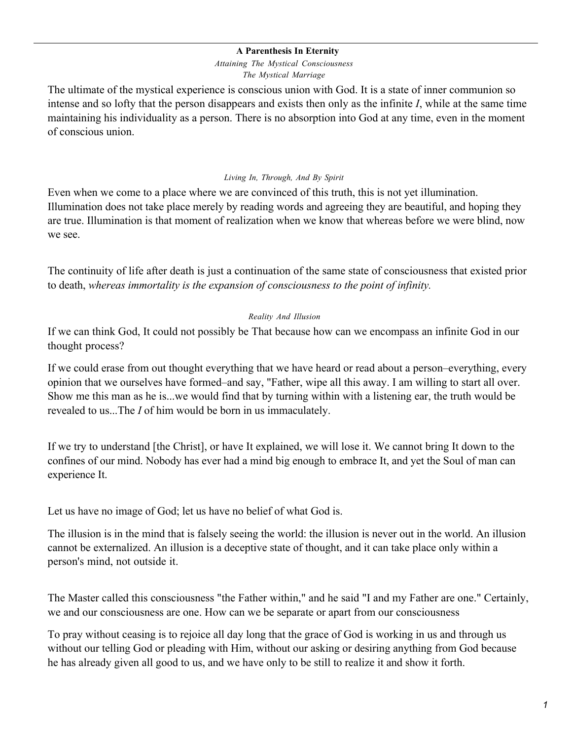#### **A Parenthesis In Eternity**

*Attaining The Mystical Consciousness The Mystical Marriage*

The ultimate of the mystical experience is conscious union with God. It is a state of inner communion so intense and so lofty that the person disappears and exists then only as the infinite *I*, while at the same time maintaining his individuality as a person. There is no absorption into God at any time, even in the moment of conscious union.

#### *Living In, Through, And By Spirit*

Even when we come to a place where we are convinced of this truth, this is not yet illumination. Illumination does not take place merely by reading words and agreeing they are beautiful, and hoping they are true. Illumination is that moment of realization when we know that whereas before we were blind, now we see.

The continuity of life after death is just a continuation of the same state of consciousness that existed prior to death, *whereas immortality is the expansion of consciousness to the point of infinity.*

### *Reality And Illusion*

If we can think God, It could not possibly be That because how can we encompass an infinite God in our thought process?

If we could erase from out thought everything that we have heard or read about a person–everything, every opinion that we ourselves have formed–and say, "Father, wipe all this away. I am willing to start all over. Show me this man as he is...we would find that by turning within with a listening ear, the truth would be revealed to us...The *I* of him would be born in us immaculately.

If we try to understand [the Christ], or have It explained, we will lose it. We cannot bring It down to the confines of our mind. Nobody has ever had a mind big enough to embrace It, and yet the Soul of man can experience It.

Let us have no image of God; let us have no belief of what God is.

The illusion is in the mind that is falsely seeing the world: the illusion is never out in the world. An illusion cannot be externalized. An illusion is a deceptive state of thought, and it can take place only within a person's mind, not outside it.

The Master called this consciousness "the Father within," and he said "I and my Father are one." Certainly, we and our consciousness are one. How can we be separate or apart from our consciousness

To pray without ceasing is to rejoice all day long that the grace of God is working in us and through us without our telling God or pleading with Him, without our asking or desiring anything from God because he has already given all good to us, and we have only to be still to realize it and show it forth.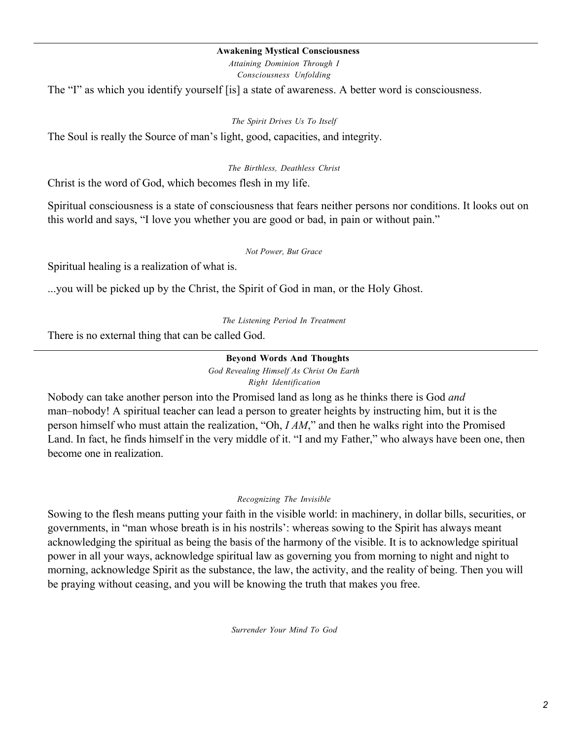#### **Awakening Mystical Consciousness**

*Attaining Dominion Through I Consciousness Unfolding*

The "I" as which you identify yourself [is] a state of awareness. A better word is consciousness.

#### *The Spirit Drives Us To Itself*

The Soul is really the Source of man's light, good, capacities, and integrity.

#### *The Birthless, Deathless Christ*

Christ is the word of God, which becomes flesh in my life.

Spiritual consciousness is a state of consciousness that fears neither persons nor conditions. It looks out on this world and says, "I love you whether you are good or bad, in pain or without pain."

#### *Not Power, But Grace*

Spiritual healing is a realization of what is.

...you will be picked up by the Christ, the Spirit of God in man, or the Holy Ghost.

*The Listening Period In Treatment*

There is no external thing that can be called God.

#### **Beyond Words And Thoughts** *God Revealing Himself As Christ On Earth Right Identification*

Nobody can take another person into the Promised land as long as he thinks there is God *and* man–nobody! A spiritual teacher can lead a person to greater heights by instructing him, but it is the person himself who must attain the realization, "Oh, *I AM*," and then he walks right into the Promised Land. In fact, he finds himself in the very middle of it. "I and my Father," who always have been one, then become one in realization.

#### *Recognizing The Invisible*

Sowing to the flesh means putting your faith in the visible world: in machinery, in dollar bills, securities, or governments, in "man whose breath is in his nostrils': whereas sowing to the Spirit has always meant acknowledging the spiritual as being the basis of the harmony of the visible. It is to acknowledge spiritual power in all your ways, acknowledge spiritual law as governing you from morning to night and night to morning, acknowledge Spirit as the substance, the law, the activity, and the reality of being. Then you will be praying without ceasing, and you will be knowing the truth that makes you free.

*Surrender Your Mind To God*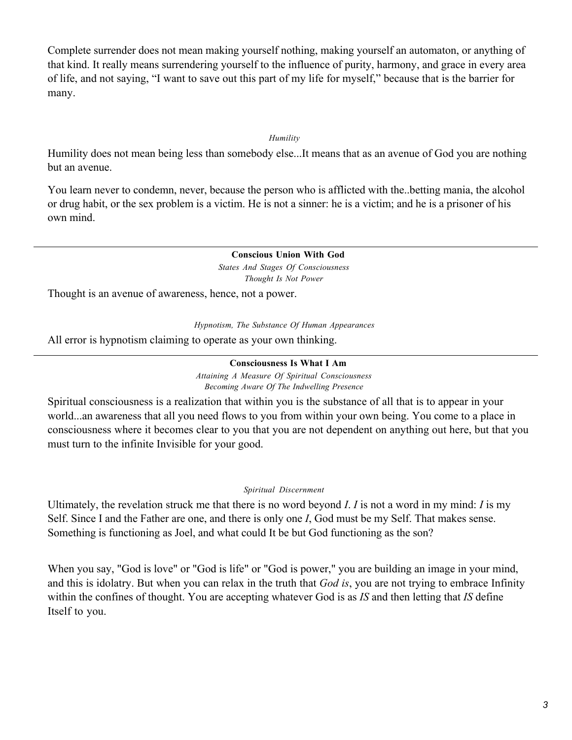Complete surrender does not mean making yourself nothing, making yourself an automaton, or anything of that kind. It really means surrendering yourself to the influence of purity, harmony, and grace in every area of life, and not saying, "I want to save out this part of my life for myself," because that is the barrier for many.

#### *Humility*

Humility does not mean being less than somebody else...It means that as an avenue of God you are nothing but an avenue.

You learn never to condemn, never, because the person who is afflicted with the..betting mania, the alcohol or drug habit, or the sex problem is a victim. He is not a sinner: he is a victim; and he is a prisoner of his own mind.

> **Conscious Union With God** *States And Stages Of Consciousness Thought Is Not Power*

Thought is an avenue of awareness, hence, not a power.

*Hypnotism, The Substance Of Human Appearances*

All error is hypnotism claiming to operate as your own thinking.

**Consciousness Is What I Am** *Attaining A Measure Of Spiritual Consciousness Becoming Aware Of The Indwelling Presence*

Spiritual consciousness is a realization that within you is the substance of all that is to appear in your world...an awareness that all you need flows to you from within your own being. You come to a place in consciousness where it becomes clear to you that you are not dependent on anything out here, but that you must turn to the infinite Invisible for your good.

#### *Spiritual Discernment*

Ultimately, the revelation struck me that there is no word beyond *I*. *I* is not a word in my mind: *I* is my Self. Since I and the Father are one, and there is only one *I*, God must be my Self. That makes sense. Something is functioning as Joel, and what could It be but God functioning as the son?

When you say, "God is love" or "God is life" or "God is power," you are building an image in your mind, and this is idolatry. But when you can relax in the truth that *God is*, you are not trying to embrace Infinity within the confines of thought. You are accepting whatever God is as *IS* and then letting that *IS* define Itself to you.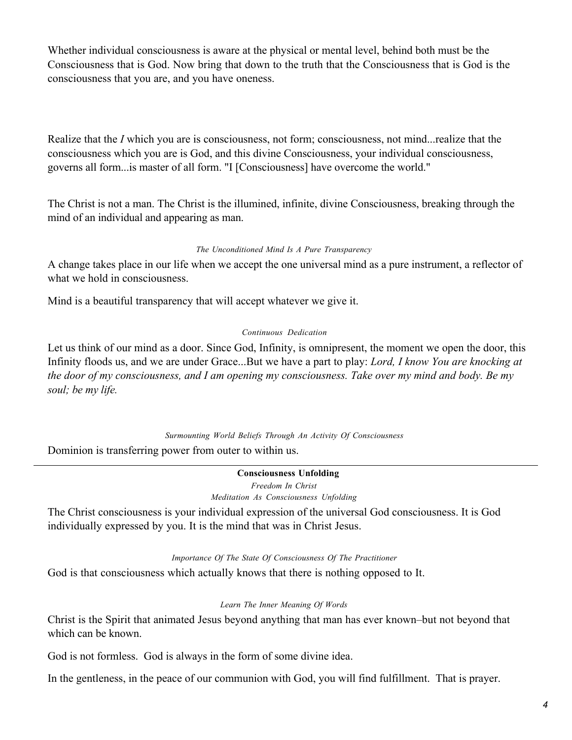Whether individual consciousness is aware at the physical or mental level, behind both must be the Consciousness that is God. Now bring that down to the truth that the Consciousness that is God is the consciousness that you are, and you have oneness.

Realize that the *I* which you are is consciousness, not form; consciousness, not mind...realize that the consciousness which you are is God, and this divine Consciousness, your individual consciousness, governs all form...is master of all form. "I [Consciousness] have overcome the world."

The Christ is not a man. The Christ is the illumined, infinite, divine Consciousness, breaking through the mind of an individual and appearing as man.

### *The Unconditioned Mind Is A Pure Transparency*

A change takes place in our life when we accept the one universal mind as a pure instrument, a reflector of what we hold in consciousness.

Mind is a beautiful transparency that will accept whatever we give it.

#### *Continuous Dedication*

Let us think of our mind as a door. Since God, Infinity, is omnipresent, the moment we open the door, this Infinity floods us, and we are under Grace...But we have a part to play: *Lord, I know You are knocking at the door of my consciousness, and I am opening my consciousness. Take over my mind and body. Be my soul; be my life.*

*Surmounting World Beliefs Through An Activity Of Consciousness*

Dominion is transferring power from outer to within us.

**Consciousness Unfolding** *Freedom In Christ Meditation As Consciousness Unfolding*

The Christ consciousness is your individual expression of the universal God consciousness. It is God individually expressed by you. It is the mind that was in Christ Jesus.

#### *Importance Of The State Of Consciousness Of The Practitioner*

God is that consciousness which actually knows that there is nothing opposed to It.

#### *Learn The Inner Meaning Of Words*

Christ is the Spirit that animated Jesus beyond anything that man has ever known–but not beyond that which can be known.

God is not formless. God is always in the form of some divine idea.

In the gentleness, in the peace of our communion with God, you will find fulfillment. That is prayer.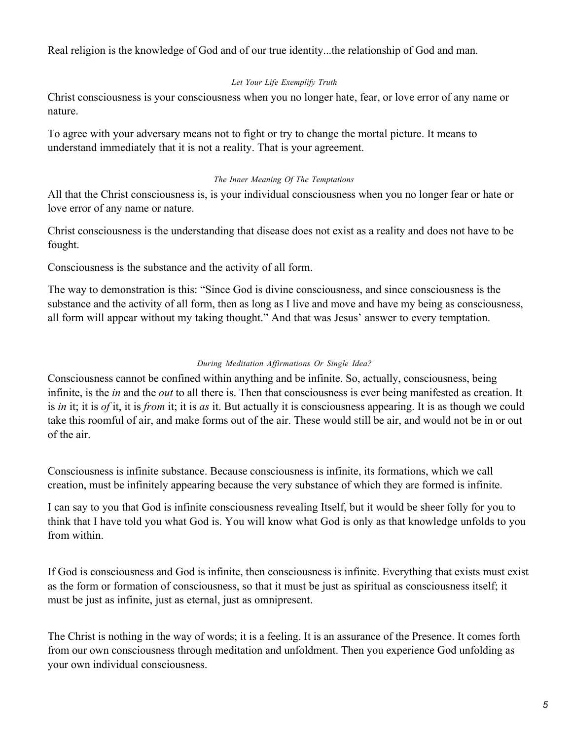Real religion is the knowledge of God and of our true identity...the relationship of God and man.

## *Let Your Life Exemplify Truth*

Christ consciousness is your consciousness when you no longer hate, fear, or love error of any name or nature.

To agree with your adversary means not to fight or try to change the mortal picture. It means to understand immediately that it is not a reality. That is your agreement.

## *The Inner Meaning Of The Temptations*

All that the Christ consciousness is, is your individual consciousness when you no longer fear or hate or love error of any name or nature.

Christ consciousness is the understanding that disease does not exist as a reality and does not have to be fought.

Consciousness is the substance and the activity of all form.

The way to demonstration is this: "Since God is divine consciousness, and since consciousness is the substance and the activity of all form, then as long as I live and move and have my being as consciousness, all form will appear without my taking thought." And that was Jesus' answer to every temptation.

# *During Meditation Affirmations Or Single Idea?*

Consciousness cannot be confined within anything and be infinite. So, actually, consciousness, being infinite, is the *in* and the *out* to all there is. Then that consciousness is ever being manifested as creation. It is *in* it; it is *of* it, it is *from* it; it is *as* it. But actually it is consciousness appearing. It is as though we could take this roomful of air, and make forms out of the air. These would still be air, and would not be in or out of the air.

Consciousness is infinite substance. Because consciousness is infinite, its formations, which we call creation, must be infinitely appearing because the very substance of which they are formed is infinite.

I can say to you that God is infinite consciousness revealing Itself, but it would be sheer folly for you to think that I have told you what God is. You will know what God is only as that knowledge unfolds to you from within.

If God is consciousness and God is infinite, then consciousness is infinite. Everything that exists must exist as the form or formation of consciousness, so that it must be just as spiritual as consciousness itself; it must be just as infinite, just as eternal, just as omnipresent.

The Christ is nothing in the way of words; it is a feeling. It is an assurance of the Presence. It comes forth from our own consciousness through meditation and unfoldment. Then you experience God unfolding as your own individual consciousness.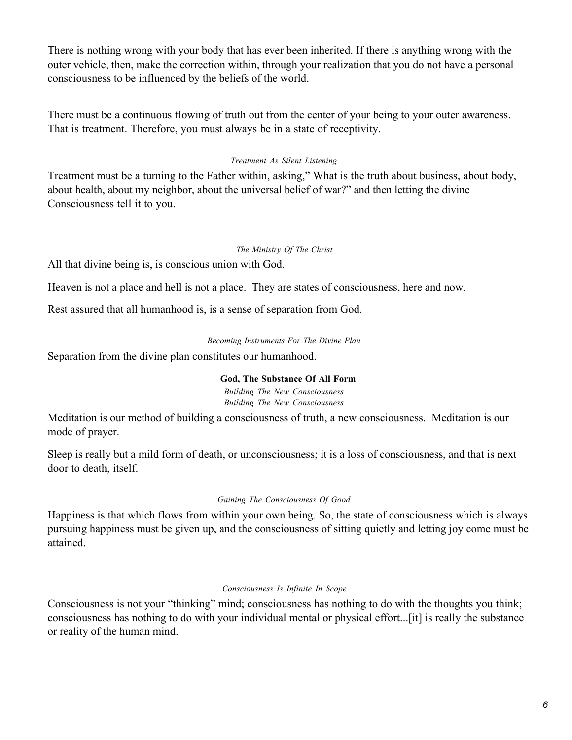There is nothing wrong with your body that has ever been inherited. If there is anything wrong with the outer vehicle, then, make the correction within, through your realization that you do not have a personal consciousness to be influenced by the beliefs of the world.

There must be a continuous flowing of truth out from the center of your being to your outer awareness. That is treatment. Therefore, you must always be in a state of receptivity.

## *Treatment As Silent Listening*

Treatment must be a turning to the Father within, asking," What is the truth about business, about body, about health, about my neighbor, about the universal belief of war?" and then letting the divine Consciousness tell it to you.

## *The Ministry Of The Christ*

All that divine being is, is conscious union with God.

Heaven is not a place and hell is not a place. They are states of consciousness, here and now.

Rest assured that all humanhood is, is a sense of separation from God.

#### *Becoming Instruments For The Divine Plan*

Separation from the divine plan constitutes our humanhood.

## **God, The Substance Of All Form**

*Building The New Consciousness Building The New Consciousness*

Meditation is our method of building a consciousness of truth, a new consciousness. Meditation is our mode of prayer.

Sleep is really but a mild form of death, or unconsciousness; it is a loss of consciousness, and that is next door to death, itself.

## *Gaining The Consciousness Of Good*

Happiness is that which flows from within your own being. So, the state of consciousness which is always pursuing happiness must be given up, and the consciousness of sitting quietly and letting joy come must be attained.

#### *Consciousness Is Infinite In Scope*

Consciousness is not your "thinking" mind; consciousness has nothing to do with the thoughts you think; consciousness has nothing to do with your individual mental or physical effort...[it] is really the substance or reality of the human mind.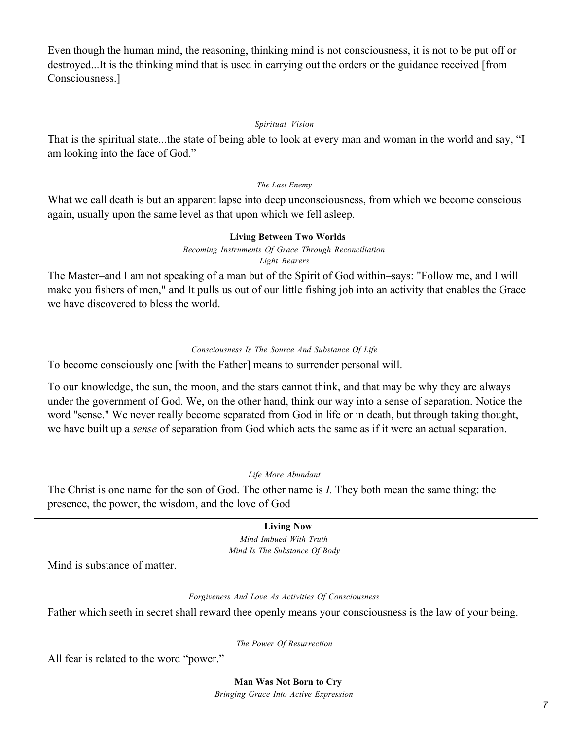Even though the human mind, the reasoning, thinking mind is not consciousness, it is not to be put off or destroyed...It is the thinking mind that is used in carrying out the orders or the guidance received [from Consciousness.]

## *Spiritual Vision*

That is the spiritual state...the state of being able to look at every man and woman in the world and say, "I am looking into the face of God."

## *The Last Enemy*

What we call death is but an apparent lapse into deep unconsciousness, from which we become conscious again, usually upon the same level as that upon which we fell asleep.

#### **Living Between Two Worlds** *Becoming Instruments Of Grace Through Reconciliation Light Bearers*

The Master–and I am not speaking of a man but of the Spirit of God within–says: "Follow me, and I will make you fishers of men," and It pulls us out of our little fishing job into an activity that enables the Grace we have discovered to bless the world.

## *Consciousness Is The Source And Substance Of Life*

To become consciously one [with the Father] means to surrender personal will.

To our knowledge, the sun, the moon, and the stars cannot think, and that may be why they are always under the government of God. We, on the other hand, think our way into a sense of separation. Notice the word "sense." We never really become separated from God in life or in death, but through taking thought, we have built up a *sense* of separation from God which acts the same as if it were an actual separation.

## *Life More Abundant*

The Christ is one name for the son of God. The other name is *I.* They both mean the same thing: the presence, the power, the wisdom, and the love of God

# **Living Now**

*Mind Imbued With Truth Mind Is The Substance Of Body*

Mind is substance of matter.

#### *Forgiveness And Love As Activities Of Consciousness*

Father which seeth in secret shall reward thee openly means your consciousness is the law of your being.

*The Power Of Resurrection*

All fear is related to the word "power."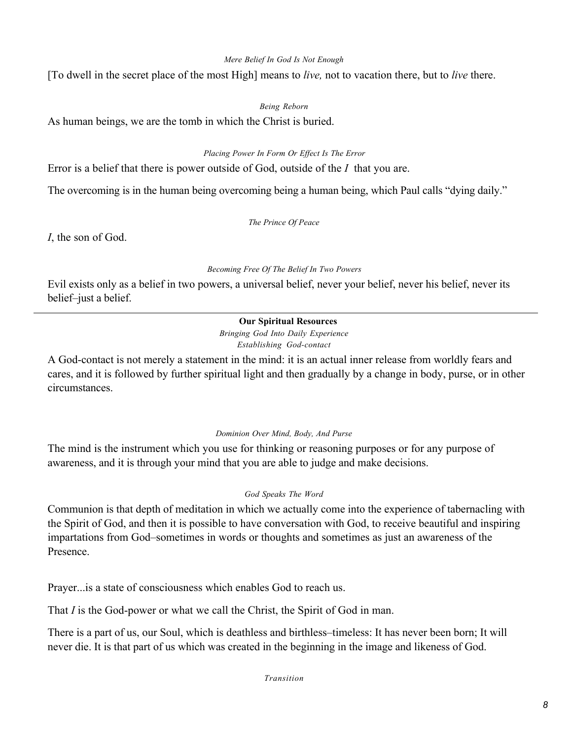### *Mere Belief In God Is Not Enough*

[To dwell in the secret place of the most High] means to *live,* not to vacation there, but to *live* there.

### *Being Reborn*

As human beings, we are the tomb in which the Christ is buried.

### *Placing Power In Form Or Effect Is The Error*

Error is a belief that there is power outside of God, outside of the *I* that you are.

The overcoming is in the human being overcoming being a human being, which Paul calls "dying daily."

#### *The Prince Of Peace*

*I*, the son of God.

### *Becoming Free Of The Belief In Two Powers*

Evil exists only as a belief in two powers, a universal belief, never your belief, never his belief, never its belief–just a belief.

# **Our Spiritual Resources**

*Bringing God Into Daily Experience Establishing God-contact*

A God-contact is not merely a statement in the mind: it is an actual inner release from worldly fears and cares, and it is followed by further spiritual light and then gradually by a change in body, purse, or in other circumstances.

## *Dominion Over Mind, Body, And Purse*

The mind is the instrument which you use for thinking or reasoning purposes or for any purpose of awareness, and it is through your mind that you are able to judge and make decisions.

## *God Speaks The Word*

Communion is that depth of meditation in which we actually come into the experience of tabernacling with the Spirit of God, and then it is possible to have conversation with God, to receive beautiful and inspiring impartations from God–sometimes in words or thoughts and sometimes as just an awareness of the **Presence** 

Prayer...is a state of consciousness which enables God to reach us.

That *I* is the God-power or what we call the Christ, the Spirit of God in man.

There is a part of us, our Soul, which is deathless and birthless–timeless: It has never been born; It will never die. It is that part of us which was created in the beginning in the image and likeness of God.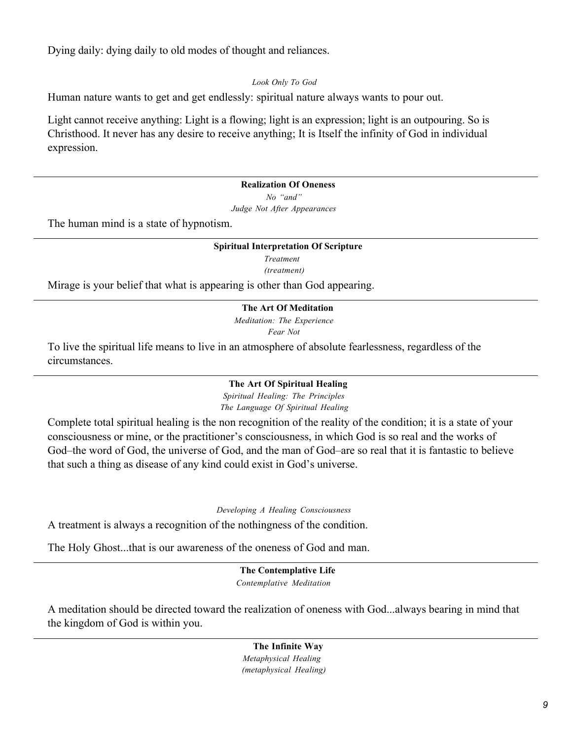Dying daily: dying daily to old modes of thought and reliances.

### *Look Only To God*

Human nature wants to get and get endlessly: spiritual nature always wants to pour out.

Light cannot receive anything: Light is a flowing; light is an expression; light is an outpouring. So is Christhood. It never has any desire to receive anything; It is Itself the infinity of God in individual expression.

### **Realization Of Oneness**

*No "and" Judge Not After Appearances*

The human mind is a state of hypnotism.

#### **Spiritual Interpretation Of Scripture**

*Treatment (treatment)*

Mirage is your belief that what is appearing is other than God appearing.

### **The Art Of Meditation**

*Meditation: The Experience Fear Not*

To live the spiritual life means to live in an atmosphere of absolute fearlessness, regardless of the circumstances.

#### **The Art Of Spiritual Healing**

*Spiritual Healing: The Principles The Language Of Spiritual Healing*

Complete total spiritual healing is the non recognition of the reality of the condition; it is a state of your consciousness or mine, or the practitioner's consciousness, in which God is so real and the works of God–the word of God, the universe of God, and the man of God–are so real that it is fantastic to believe that such a thing as disease of any kind could exist in God's universe.

*Developing A Healing Consciousness*

A treatment is always a recognition of the nothingness of the condition.

The Holy Ghost...that is our awareness of the oneness of God and man.

## **The Contemplative Life**

*Contemplative Meditation*

A meditation should be directed toward the realization of oneness with God...always bearing in mind that the kingdom of God is within you.

#### **The Infinite Way**

*Metaphysical Healing (metaphysical Healing)*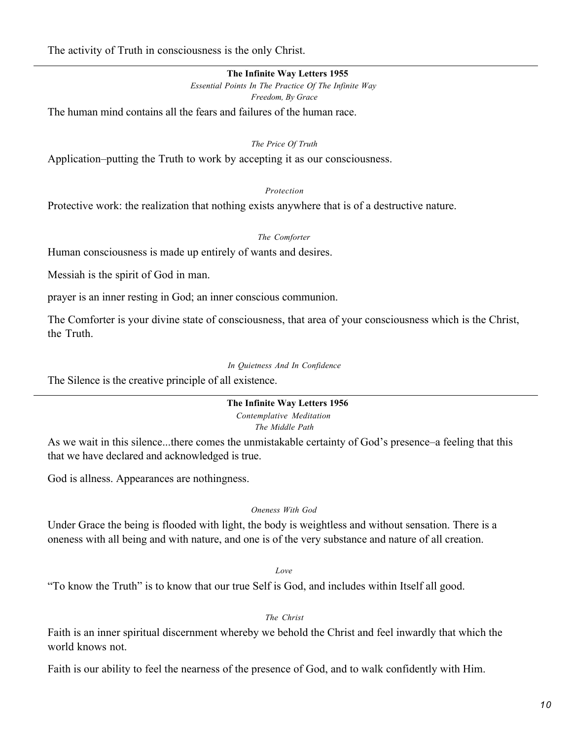The activity of Truth in consciousness is the only Christ.

### **The Infinite Way Letters 1955**

*Essential Points In The Practice Of The Infinite Way Freedom, By Grace*

The human mind contains all the fears and failures of the human race.

#### *The Price Of Truth*

Application–putting the Truth to work by accepting it as our consciousness.

### *Protection*

Protective work: the realization that nothing exists anywhere that is of a destructive nature.

### *The Comforter*

Human consciousness is made up entirely of wants and desires.

Messiah is the spirit of God in man.

prayer is an inner resting in God; an inner conscious communion.

The Comforter is your divine state of consciousness, that area of your consciousness which is the Christ, the Truth.

#### *In Quietness And In Confidence*

The Silence is the creative principle of all existence.

# **The Infinite Way Letters 1956** *Contemplative Meditation*

*The Middle Path*

As we wait in this silence...there comes the unmistakable certainty of God's presence–a feeling that this that we have declared and acknowledged is true.

God is allness. Appearances are nothingness.

## *Oneness With God*

Under Grace the being is flooded with light, the body is weightless and without sensation. There is a oneness with all being and with nature, and one is of the very substance and nature of all creation.

## *Love*

"To know the Truth" is to know that our true Self is God, and includes within Itself all good.

# *The Christ*

Faith is an inner spiritual discernment whereby we behold the Christ and feel inwardly that which the world knows not.

Faith is our ability to feel the nearness of the presence of God, and to walk confidently with Him.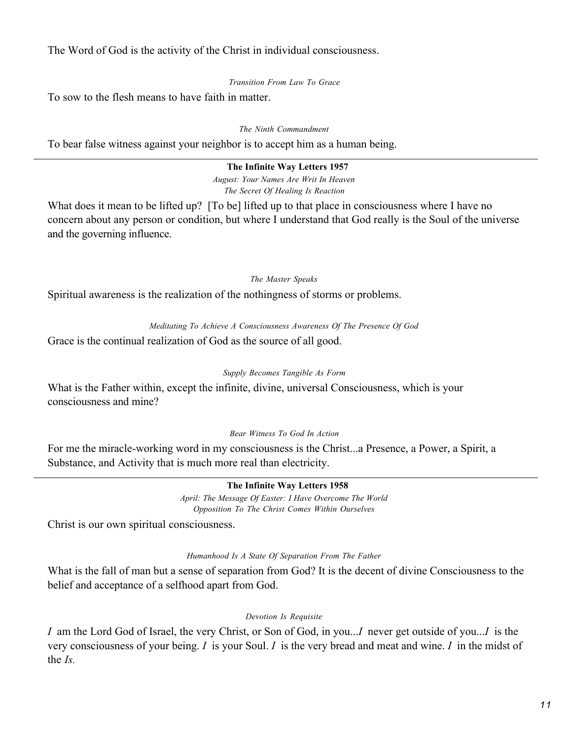The Word of God is the activity of the Christ in individual consciousness.

*Transition From Law To Grace*

To sow to the flesh means to have faith in matter.

*The Ninth Commandment*

To bear false witness against your neighbor is to accept him as a human being.

### **The Infinite Way Letters 1957**

*August: Your Names Are Writ In Heaven The Secret Of Healing Is Reaction*

What does it mean to be lifted up? [To be] lifted up to that place in consciousness where I have no concern about any person or condition, but where I understand that God really is the Soul of the universe and the governing influence.

### *The Master Speaks*

Spiritual awareness is the realization of the nothingness of storms or problems.

## *Meditating To Achieve A Consciousness Awareness Of The Presence Of God*

Grace is the continual realization of God as the source of all good.

## *Supply Becomes Tangible As Form*

What is the Father within, except the infinite, divine, universal Consciousness, which is your consciousness and mine?

## *Bear Witness To God In Action*

For me the miracle-working word in my consciousness is the Christ...a Presence, a Power, a Spirit, a Substance, and Activity that is much more real than electricity.

## **The Infinite Way Letters 1958**

*April: The Message Of Easter: I Have Overcome The World Opposition To The Christ Comes Within Ourselves*

Christ is our own spiritual consciousness.

## *Humanhood Is A State Of Separation From The Father*

What is the fall of man but a sense of separation from God? It is the decent of divine Consciousness to the belief and acceptance of a selfhood apart from God.

## *Devotion Is Requisite*

*I* am the Lord God of Israel, the very Christ, or Son of God, in you...*I* never get outside of you...*I* is the very consciousness of your being. *I* is your Soul. *I* is the very bread and meat and wine. *I* in the midst of the *Is.*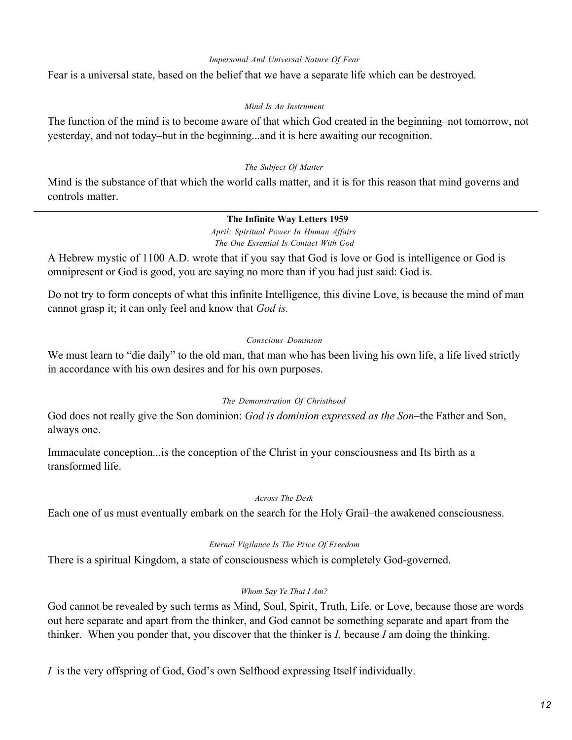#### *Impersonal And Universal Nature Of Fear*

Fear is a universal state, based on the belief that we have a separate life which can be destroyed.

### *Mind Is An Instrument*

The function of the mind is to become aware of that which God created in the beginning–not tomorrow, not yesterday, and not today–but in the beginning...and it is here awaiting our recognition.

## *The Subject Of Matter*

Mind is the substance of that which the world calls matter, and it is for this reason that mind governs and controls matter.

# **The Infinite Way Letters 1959**

*April: Spiritual Power In Human Affairs The One Essential Is Contact With God*

A Hebrew mystic of 1100 A.D. wrote that if you say that God is love or God is intelligence or God is omnipresent or God is good, you are saying no more than if you had just said: God is.

Do not try to form concepts of what this infinite Intelligence, this divine Love, is because the mind of man cannot grasp it; it can only feel and know that *God is.*

## *Conscious Dominion*

We must learn to "die daily" to the old man, that man who has been living his own life, a life lived strictly in accordance with his own desires and for his own purposes.

## *The Demonstration Of Christhood*

God does not really give the Son dominion: *God is dominion expressed as the Son–*the Father and Son, always one.

Immaculate conception...is the conception of the Christ in your consciousness and Its birth as a transformed life.

#### *Across The Desk*

Each one of us must eventually embark on the search for the Holy Grail–the awakened consciousness.

## *Eternal Vigilance Is The Price Of Freedom*

There is a spiritual Kingdom, a state of consciousness which is completely God-governed.

## *Whom Say Ye That I Am?*

God cannot be revealed by such terms as Mind, Soul, Spirit, Truth, Life, or Love, because those are words out here separate and apart from the thinker, and God cannot be something separate and apart from the thinker. When you ponder that, you discover that the thinker is *I,* because *I* am doing the thinking.

*I* is the very offspring of God, God's own Selfhood expressing Itself individually.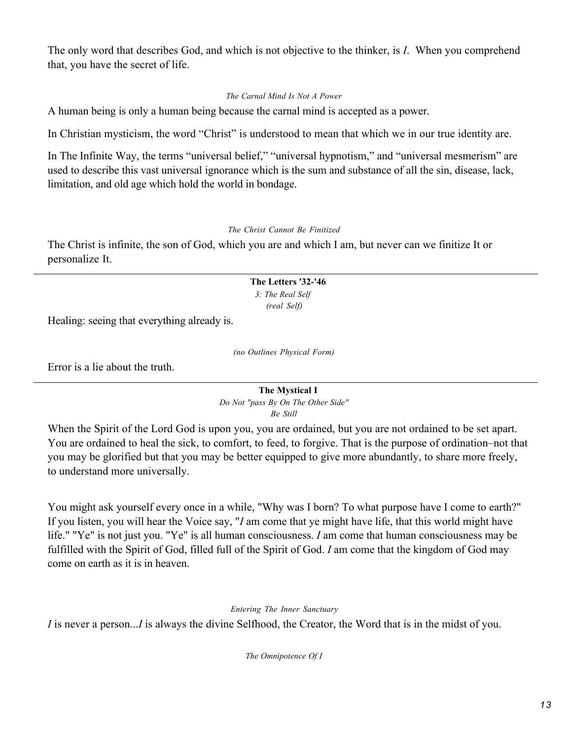The only word that describes God, and which is not objective to the thinker, is *I*. When you comprehend that, you have the secret of life.

# *The Carnal Mind Is Not A Power*

A human being is only a human being because the carnal mind is accepted as a power.

In Christian mysticism, the word "Christ" is understood to mean that which we in our true identity are.

In The Infinite Way, the terms "universal belief," "universal hypnotism," and "universal mesmerism" are used to describe this vast universal ignorance which is the sum and substance of all the sin, disease, lack, limitation, and old age which hold the world in bondage.

## *The Christ Cannot Be Finitized*

The Christ is infinite, the son of God, which you are and which I am, but never can we finitize It or personalize It.

### **The Letters '32-'46** *3: The Real Self (real Self)*

Healing: seeing that everything already is.

*(no Outlines Physical Form)*

Error is a lie about the truth.

**The Mystical I** *Do Not "pass By On The Other Side" Be Still*

When the Spirit of the Lord God is upon you, you are ordained, but you are not ordained to be set apart. You are ordained to heal the sick, to comfort, to feed, to forgive. That is the purpose of ordination–not that you may be glorified but that you may be better equipped to give more abundantly, to share more freely, to understand more universally.

You might ask yourself every once in a while, "Why was I born? To what purpose have I come to earth?" If you listen, you will hear the Voice say, "*I* am come that ye might have life, that this world might have life." "Ye" is not just you. "Ye" is all human consciousness. *I* am come that human consciousness may be fulfilled with the Spirit of God, filled full of the Spirit of God. *I* am come that the kingdom of God may come on earth as it is in heaven.

*Entering The Inner Sanctuary*

*I* is never a person...*I* is always the divine Selfhood, the Creator, the Word that is in the midst of you.

*The Omnipotence Of I*